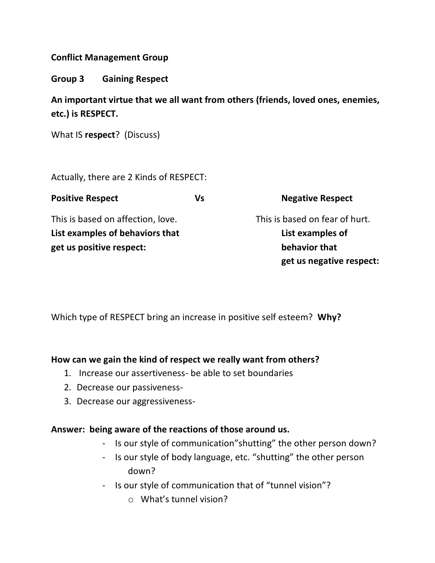# **Conflict Management Group**

**Group 3 Gaining Respect**

**An important virtue that we all want from others (friends, loved ones, enemies, etc.) is RESPECT.** 

What IS **respect**? (Discuss)

Actually, there are 2 Kinds of RESPECT:

| <b>Positive Respect</b>           | Vs | <b>Negative Respect</b>        |
|-----------------------------------|----|--------------------------------|
| This is based on affection, love. |    | This is based on fear of hurt. |
| List examples of behaviors that   |    | List examples of               |
| get us positive respect:          |    | behavior that                  |
|                                   |    | get us negative respect:       |

Which type of RESPECT bring an increase in positive self esteem? **Why?**

# **How can we gain the kind of respect we really want from others?**

- 1. Increase our assertiveness- be able to set boundaries
- 2. Decrease our passiveness-
- 3. Decrease our aggressiveness-

### **Answer: being aware of the reactions of those around us.**

- Is our style of communication"shutting" the other person down?
- Is our style of body language, etc. "shutting" the other person down?
- Is our style of communication that of "tunnel vision"?
	- o What's tunnel vision?